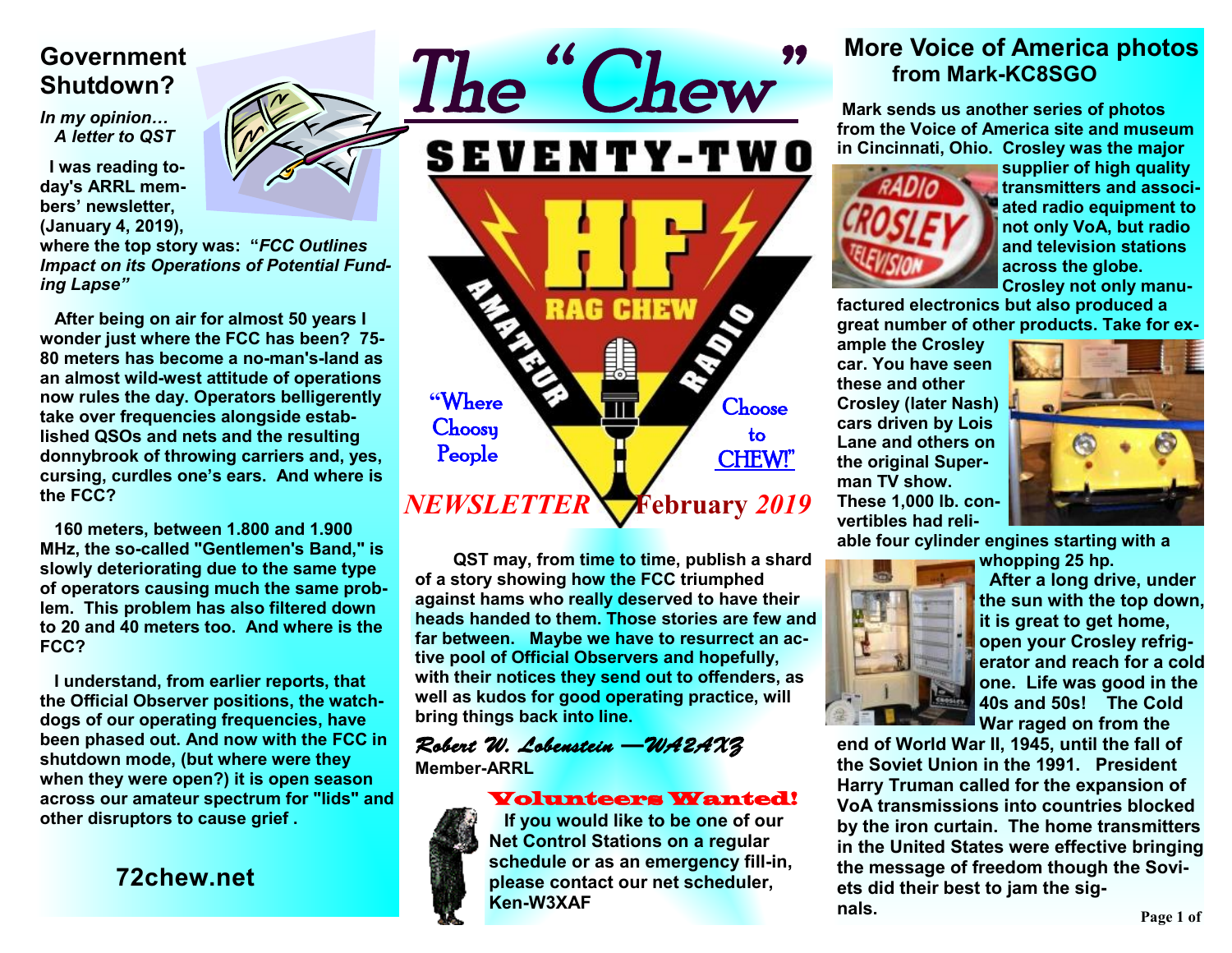## **Government Shutdown?**

*In my opinion… A letter to QST* 

**I was reading today's ARRL members' newsletter, (January 4, 2019),** 

**where the top story was: "***FCC Outlines Impact on its Operations of Potential Funding Lapse"* 

**After being on air for almost 50 years I wonder just where the FCC has been? 75- 80 meters has become a no-man's-land as an almost wild-west attitude of operations now rules the day. Operators belligerently take over frequencies alongside established QSOs and nets and the resulting donnybrook of throwing carriers and, yes, cursing, curdles one's ears. And where is the FCC?** 

**160 meters, between 1.800 and 1.900 MHz, the so-called "Gentlemen's Band," is slowly deteriorating due to the same type of operators causing much the same problem. This problem has also filtered down to 20 and 40 meters too. And where is the FCC?** 

**I understand, from earlier reports, that the Official Observer positions, the watchdogs of our operating frequencies, have been phased out. And now with the FCC in shutdown mode, (but where were they when they were open?) it is open season across our amateur spectrum for "lids" and other disruptors to cause grief .** 

**72chew.net**



**QST may, from time to time, publish a shard of a story showing how the FCC triumphed against hams who really deserved to have their heads handed to them. Those stories are few and far between. Maybe we have to resurrect an active pool of Official Observers and hopefully, with their notices they send out to offenders, as well as kudos for good operating practice, will bring things back into line.** 

## *Robert W. Lobenstein —WA2AXZ*

**Member-ARRL** 

### Volunteers Wanted!



 **If you would like to be one of our Net Control Stations on a regular schedule or as an emergency fill-in, please contact our net scheduler, Ken-W3XAF**

## **More Voice of America photos from Mark-KC8SGO**

 **Mark sends us another series of photos from the Voice of America site and museum in Cincinnati, Ohio. Crosley was the major** 



**supplier of high quality transmitters and associated radio equipment to not only VoA, but radio and television stations across the globe. Crosley not only manu-**

**factured electronics but also produced a great number of other products. Take for ex-**

**ample the Crosley car. You have seen these and other Crosley (later Nash) cars driven by Lois Lane and others on the original Superman TV show. These 1,000 lb. convertibles had reli-**



**able four cylinder engines starting with a** 



**whopping 25 hp. After a long drive, under the sun with the top down, it is great to get home, open your Crosley refrigerator and reach for a cold one. Life was good in the 40s and 50s! The Cold War raged on from the** 

**end of World War II, 1945, until the fall of the Soviet Union in the 1991. President Harry Truman called for the expansion of VoA transmissions into countries blocked by the iron curtain. The home transmitters in the United States were effective bringing the message of freedom though the Soviets did their best to jam the signals.** 

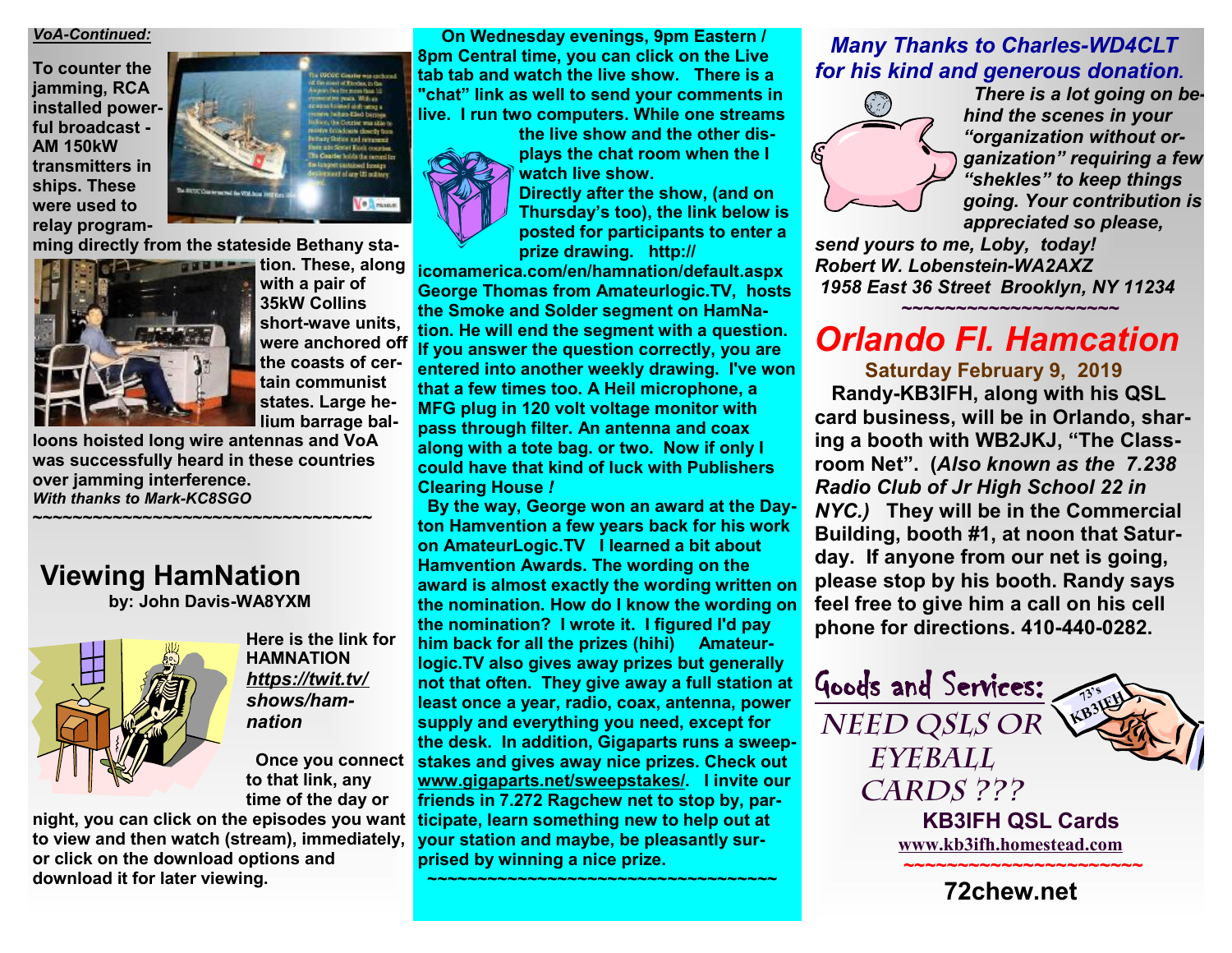#### *VoA-Continued:*

**To counter the jamming, RCA installed powerful broadcast - AM 150kW transmitters in ships. These were used to relay program-**



**ming directly from the stateside Bethany sta-**



**tion.** These, along **with a pair of 35kW Collins short-wave units, were anchored off the coasts of certain communist states. Large helium barrage bal-**

**loons hoisted long wire antennas and VoA was successfully heard in these countries over jamming interference.**  *With thanks to Mark-KC8SGO* 

**~~~~~~~~~~~~~~~~~~~~~~~~~~~~~~~~~~** 





**Here is the link for HAMNATION**  *<https://twit.tv/> shows/hamnation* 

**to that link, any time of the day or** 

**night, you can click on the episodes you want to view and then watch (stream), immediately, or click on the download options and download it for later viewing.** 

 **On Wednesday evenings, 9pm Eastern / 8pm Central time, you can click on the Live tab tab and watch the live show. There is a "chat" link as well to send your comments in live. I run two computers. While one streams** 

**the live show and the other displays the chat room when the I watch live show.** 



**Directly after the show, (and on Thursday's too), the link below is posted for participants to enter a prize drawing. http://**

**icomamerica.com/en/hamnation/default.aspx George Thomas from Amateurlogic.TV, hosts the Smoke and Solder segment on HamNation. He will end the segment with a question. If you answer the question correctly, you are entered into another weekly drawing. I've won that a few times too. A Heil microphone, a MFG plug in 120 volt voltage monitor with pass through filter. An antenna and coax along with a tote bag. or two. Now if only I could have that kind of luck with Publishers Clearing House** *!*

 **By the way, George won an award at the Dayton Hamvention a few years back for his work on AmateurLogic.TV I learned <sup>a</sup> bit about Hamvention Awards. The wording on the award is almost exactly the wording written on the nomination. How do I know the wording on the nomination? I wrote it. I figured I'd pay him back for all the prizes (hihi) Amateurlogic.TV also gives away prizes but generally not that often. They give away a full station at least once a year, radio, coax, antenna, power supply and everything you need, except for the desk. In addition, Gigaparts runs a sweepstakes and gives away nice prizes. Check out Once you connect [www.gigaparts.net/sweepstakes/](http://www.gigaparts.net/sweepstakes/). I invite our friends in 7.272 Ragchew net to stop by, participate, learn something new to help out at your station and maybe, be pleasantly surprised by winning a nice prize.** 

**~~~~~~~~~~~~~~~~~~~~~~~~~~~~~~~~~~~** 

### *Many Thanks to Charles-WD4CLT for his kind and generous donation.*



 *There is a lot going on behind the scenes in your "organization without organization" requiring a few "shekles" to keep things going. Your contribution is appreciated so please,* 

*send yours to me, Loby, today! Robert W. Lobenstein-WA2AXZ 1958 East 36 Street Brooklyn, NY 11234*

# *Orlando Fl. Hamcation*

**~~~~~~~~~~~~~~~~~~~~** 

 **Saturday February 9, 2019** 

 **Randy-KB3IFH, along with his QSL card business, will be in Orlando, sharing a booth with WB2JKJ, "The Classroom Net". (***Also known as the 7.238 Radio Club of Jr High School 22 in NYC.)* **They will be in the Commercial Building, booth #1, at noon that Saturday. If anyone from our net is going, please stop by his booth. Randy says feel free to give him a call on his cell phone for directions. 410-440-0282.** 

> **KB3IFH QSL Cards [www.kb3ifh.homestead.com](http://www.kb3ifh.homestead.com) ~~~~~~~~~~~~~~~~~~~~~~ 72chew.net**

**73's KB3IFH** 

Goods and Services:

*Need QSLs or* 

*Eyeball* 

*Cards ???*